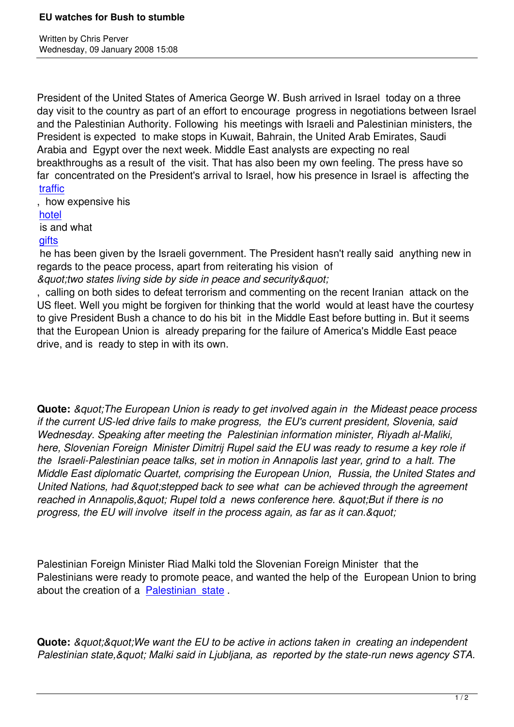Written by Christian by Christian by Christian by Christian by Christian by Christian by Chris Perus

President of the United States of America George W. Bush arrived in Israel today on a three day visit to the country as part of an effort to encourage progress in negotiations between Israel and the Palestinian Authority. Following his meetings with Israeli and Palestinian ministers, the President is expected to make stops in Kuwait, Bahrain, the United Arab Emirates, Saudi Arabia and Egypt over the next week. Middle East analysts are expecting no real breakthroughs as a result of the visit. That has also been my own feeling. The press have so far concentrated on the President's arrival to Israel, how his presence in Israel is affecting the traffic

, how expensive his

## hotel

 [is and](http://www.telegraph.co.uk/opinion/main.jhtml?xml=/opinion/2008/01/09/do0908.xml) what

**gifts** 

 [he ha](http://www.theaustralian.news.com.au/story/0,25197,23029523-2703,00.html)s been given by the Israeli government. The President hasn't really said anything new in regards to the peace process, apart from reiterating his vision of  $\&$ quo*t*;two states living side by side in peace and security & quot;

, calling on both sides to defeat terrorism and commenting on the recent Iranian attack on the US fleet. Well you might be forgiven for thinking that the world would at least have the courtesy to give President Bush a chance to do his bit in the Middle East before butting in. But it seems that the European Union is already preparing for the failure of America's Middle East peace drive, and is ready to step in with its own.

**Quote:** *" The European Union is ready to get involved again in the Mideast peace process if the current US-led drive fails to make progress, the EU's current president, Slovenia, said Wednesday. Speaking after meeting the Palestinian information minister, Riyadh al-Maliki, here, Slovenian Foreign Minister Dimitrij Rupel said the EU was ready to resume a key role if the Israeli-Palestinian peace talks, set in motion in Annapolis last year, grind to a halt. The Middle East diplomatic Quartet, comprising the European Union, Russia, the United States and United Nations, had "stepped back to see what can be achieved through the agreement* reached in Annapolis, & quot; Rupel told a news conference here. & quot; But if there is no progress, the EU will involve itself in the process again, as far as it can. & quot;

Palestinian Foreign Minister Riad Malki told the Slovenian Foreign Minister that the Palestinians were ready to promote peace, and wanted the help of the European Union to bring about the creation of a Palestinian state .

**Quote:** *&guot:&guot:W[e want the EU to b](http://www.jpost.com/servlet/Satellite?cid=1198517337002&pagename=JPost%2FJPArticle%2FShowFull)e active in actions taken in creating an independent* Palestinian state, & quot; Malki said in Ljubljana, as reported by the state-run news agency STA.